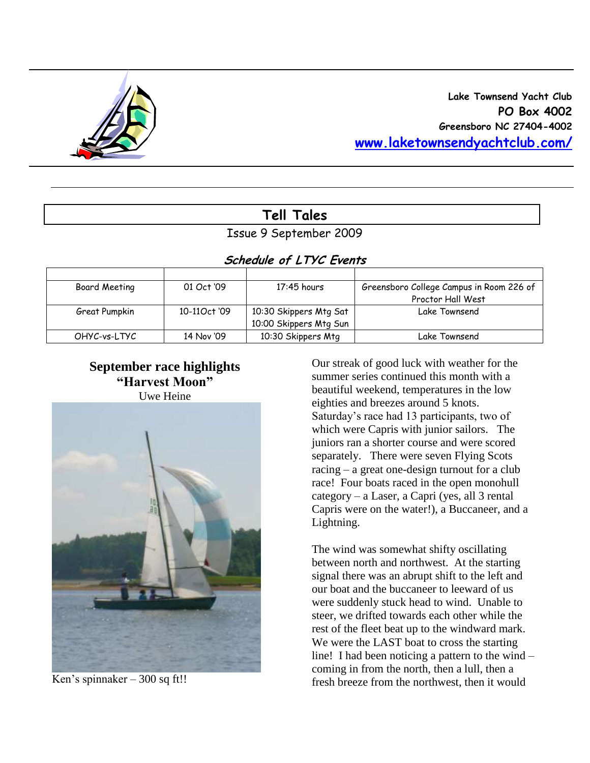

# **Tell Tales**

Issue 9 September 2009

# **Schedule of LTYC Events**

| Board Meeting | 01 Oct '09   | 17:45 hours            | Greensboro College Campus in Room 226 of |
|---------------|--------------|------------------------|------------------------------------------|
|               |              |                        | Proctor Hall West                        |
| Great Pumpkin | 10-110ct '09 | 10:30 Skippers Mtg Sat | Lake Townsend                            |
|               |              | 10:00 Skippers Mtg Sun |                                          |
| OHYC-vs-LTYC  | 14 Nov '09   | 10:30 Skippers Mtg     | Lake Townsend                            |

# **September race highlights "Harvest Moon"** Uwe Heine



Ken's spinnaker – 300 sq ft!!

Our streak of good luck with weather for the summer series continued this month with a beautiful weekend, temperatures in the low eighties and breezes around 5 knots. Saturday's race had 13 participants, two of which were Capris with junior sailors. The juniors ran a shorter course and were scored separately. There were seven Flying Scots racing – a great one-design turnout for a club race! Four boats raced in the open monohull category – a Laser, a Capri (yes, all 3 rental Capris were on the water!), a Buccaneer, and a Lightning.

The wind was somewhat shifty oscillating between north and northwest. At the starting signal there was an abrupt shift to the left and our boat and the buccaneer to leeward of us were suddenly stuck head to wind. Unable to steer, we drifted towards each other while the rest of the fleet beat up to the windward mark. We were the LAST boat to cross the starting line! I had been noticing a pattern to the wind – coming in from the north, then a lull, then a fresh breeze from the northwest, then it would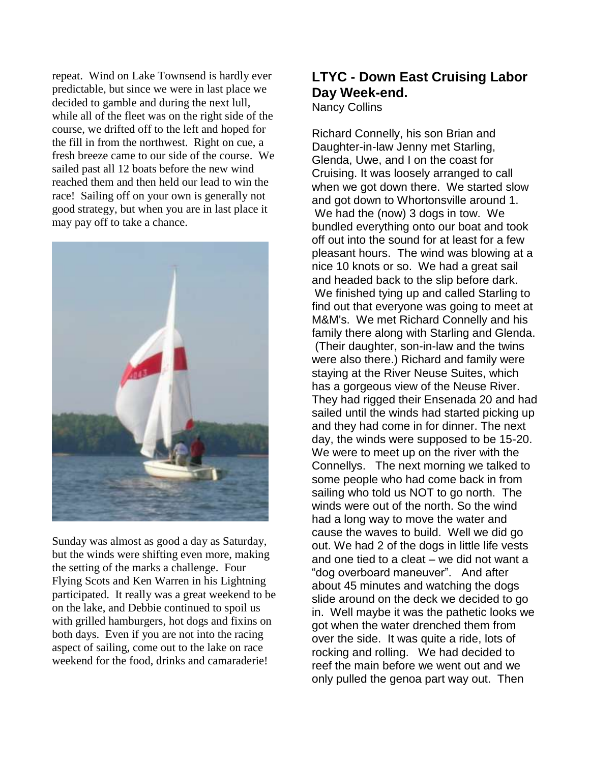repeat. Wind on Lake Townsend is hardly ever predictable, but since we were in last place we decided to gamble and during the next lull, while all of the fleet was on the right side of the course, we drifted off to the left and hoped for the fill in from the northwest. Right on cue, a fresh breeze came to our side of the course. We sailed past all 12 boats before the new wind reached them and then held our lead to win the race! Sailing off on your own is generally not good strategy, but when you are in last place it may pay off to take a chance.



Sunday was almost as good a day as Saturday, but the winds were shifting even more, making the setting of the marks a challenge. Four Flying Scots and Ken Warren in his Lightning participated. It really was a great weekend to be on the lake, and Debbie continued to spoil us with grilled hamburgers, hot dogs and fixins on both days. Even if you are not into the racing aspect of sailing, come out to the lake on race weekend for the food, drinks and camaraderie!

### **LTYC - Down East Cruising Labor Day Week-end.** Nancy Collins

Richard Connelly, his son Brian and Daughter-in-law Jenny met Starling, Glenda, Uwe, and I on the coast for Cruising. It was loosely arranged to call when we got down there. We started slow and got down to Whortonsville around 1. We had the (now) 3 dogs in tow. We bundled everything onto our boat and took off out into the sound for at least for a few pleasant hours. The wind was blowing at a nice 10 knots or so. We had a great sail and headed back to the slip before dark. We finished tying up and called Starling to find out that everyone was going to meet at M&M's. We met Richard Connelly and his family there along with Starling and Glenda. (Their daughter, son-in-law and the twins were also there.) Richard and family were staying at the River Neuse Suites, which has a gorgeous view of the Neuse River. They had rigged their Ensenada 20 and had sailed until the winds had started picking up and they had come in for dinner. The next day, the winds were supposed to be 15-20. We were to meet up on the river with the Connellys. The next morning we talked to some people who had come back in from sailing who told us NOT to go north. The winds were out of the north. So the wind had a long way to move the water and cause the waves to build. Well we did go out. We had 2 of the dogs in little life vests and one tied to a cleat – we did not want a "dog overboard maneuver". And after about 45 minutes and watching the dogs slide around on the deck we decided to go in. Well maybe it was the pathetic looks we got when the water drenched them from over the side. It was quite a ride, lots of rocking and rolling. We had decided to reef the main before we went out and we only pulled the genoa part way out. Then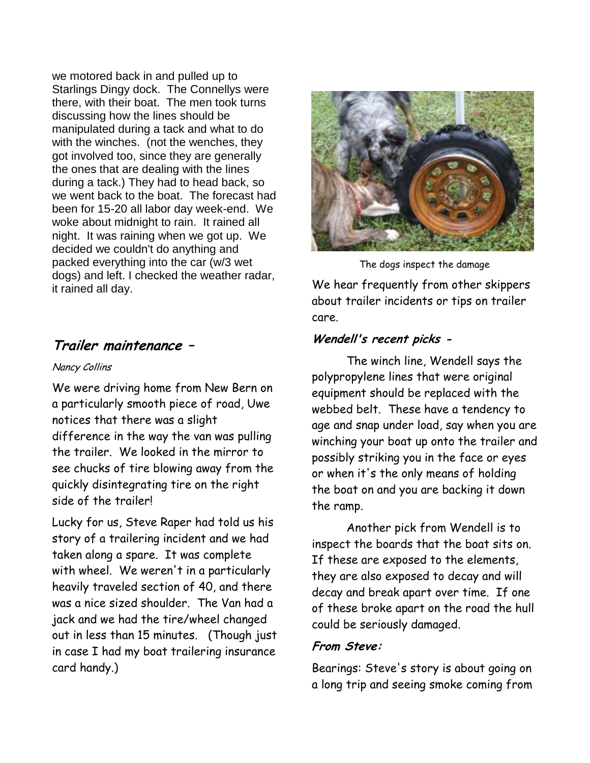we motored back in and pulled up to Starlings Dingy dock. The Connellys were there, with their boat. The men took turns discussing how the lines should be manipulated during a tack and what to do with the winches. (not the wenches, they got involved too, since they are generally the ones that are dealing with the lines during a tack.) They had to head back, so we went back to the boat. The forecast had been for 15-20 all labor day week-end. We woke about midnight to rain. It rained all night. It was raining when we got up. We decided we couldn't do anything and packed everything into the car (w/3 wet dogs) and left. I checked the weather radar, it rained all day.

# **Trailer maintenance –**

#### Nancy Collins

We were driving home from New Bern on a particularly smooth piece of road, Uwe notices that there was a slight difference in the way the van was pulling the trailer. We looked in the mirror to see chucks of tire blowing away from the quickly disintegrating tire on the right side of the trailer!

Lucky for us, Steve Raper had told us his story of a trailering incident and we had taken along a spare. It was complete with wheel. We weren't in a particularly heavily traveled section of 40, and there was a nice sized shoulder. The Van had a jack and we had the tire/wheel changed out in less than 15 minutes. (Though just in case I had my boat trailering insurance card handy.)



The dogs inspect the damage

We hear frequently from other skippers about trailer incidents or tips on trailer care.

# **Wendell's recent picks -**

The winch line, Wendell says the polypropylene lines that were original equipment should be replaced with the webbed belt. These have a tendency to age and snap under load, say when you are winching your boat up onto the trailer and possibly striking you in the face or eyes or when it's the only means of holding the boat on and you are backing it down the ramp.

Another pick from Wendell is to inspect the boards that the boat sits on. If these are exposed to the elements, they are also exposed to decay and will decay and break apart over time. If one of these broke apart on the road the hull could be seriously damaged.

### **From Steve:**

Bearings: Steve's story is about going on a long trip and seeing smoke coming from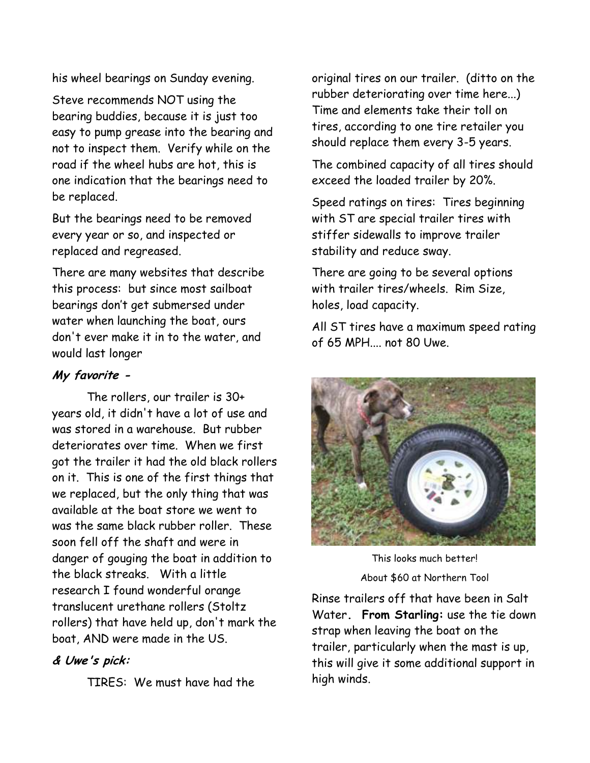his wheel bearings on Sunday evening.

Steve recommends NOT using the bearing buddies, because it is just too easy to pump grease into the bearing and not to inspect them. Verify while on the road if the wheel hubs are hot, this is one indication that the bearings need to be replaced.

But the bearings need to be removed every year or so, and inspected or replaced and regreased.

There are many websites that describe this process: but since most sailboat bearings don"t get submersed under water when launching the boat, ours don't ever make it in to the water, and would last longer

# **My favorite -**

The rollers, our trailer is 30+ years old, it didn't have a lot of use and was stored in a warehouse. But rubber deteriorates over time. When we first got the trailer it had the old black rollers on it. This is one of the first things that we replaced, but the only thing that was available at the boat store we went to was the same black rubber roller. These soon fell off the shaft and were in danger of gouging the boat in addition to the black streaks. With a little research I found wonderful orange translucent urethane rollers (Stoltz rollers) that have held up, don't mark the boat, AND were made in the US.

### **& Uwe's pick:**

TIRES: We must have had the

original tires on our trailer. (ditto on the rubber deteriorating over time here...) Time and elements take their toll on tires, according to one tire retailer you should replace them every 3-5 years.

The combined capacity of all tires should exceed the loaded trailer by 20%.

Speed ratings on tires: Tires beginning with ST are special trailer tires with stiffer sidewalls to improve trailer stability and reduce sway.

There are going to be several options with trailer tires/wheels. Rim Size, holes, load capacity.

All ST tires have a maximum speed rating of 65 MPH.... not 80 Uwe.



This looks much better! About \$60 at Northern Tool

Rinse trailers off that have been in Salt Water**. From Starling:** use the tie down strap when leaving the boat on the trailer, particularly when the mast is up, this will give it some additional support in high winds.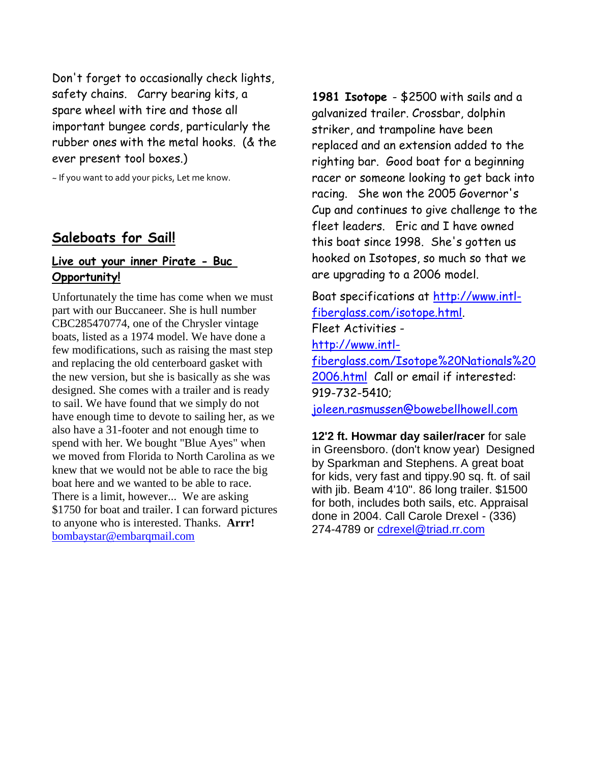Don't forget to occasionally check lights, safety chains. Carry bearing kits, a spare wheel with tire and those all important bungee cords, particularly the rubber ones with the metal hooks. (& the ever present tool boxes.)

~ If you want to add your picks, Let me know.

# **Saleboats for Sail!**

## **Live out your inner Pirate - Buc Opportunity!**

Unfortunately the time has come when we must part with our Buccaneer. She is hull number CBC285470774, one of the Chrysler vintage boats, listed as a 1974 model. We have done a few modifications, such as raising the mast step and replacing the old centerboard gasket with the new version, but she is basically as she was designed. She comes with a trailer and is ready to sail. We have found that we simply do not have enough time to devote to sailing her, as we also have a 31-footer and not enough time to spend with her. We bought "Blue Ayes" when we moved from Florida to North Carolina as we knew that we would not be able to race the big boat here and we wanted to be able to race. There is a limit, however... We are asking \$1750 for boat and trailer. I can forward pictures to anyone who is interested. Thanks. **Arrr!**  [bombaystar@embarqmail.com](mailto:bombaystar@embarqmail.com)

**1981 Isotope** - \$2500 with sails and a galvanized trailer. Crossbar, dolphin striker, and trampoline have been replaced and an extension added to the righting bar. Good boat for a beginning racer or someone looking to get back into racing. She won the 2005 Governor's Cup and continues to give challenge to the fleet leaders. Eric and I have owned this boat since 1998. She's gotten us hooked on Isotopes, so much so that we are upgrading to a 2006 model.

Boat specifications at [http://www.intl](http://www.intl-fiberglass.com/isotope.html)[fiberglass.com/isotope.html.](http://www.intl-fiberglass.com/isotope.html) Fleet Activities [http://www.intl](http://www.intl-fiberglass.com/Isotope%20Nationals%202006.html)[fiberglass.com/Isotope%20Nationals%20](http://www.intl-fiberglass.com/Isotope%20Nationals%202006.html) [2006.html](http://www.intl-fiberglass.com/Isotope%20Nationals%202006.html) Call or email if interested: 919-732-5410;

[joleen.rasmussen@bowebellhowell.com](mailto:joleen.rasmussen@bowebellhowell.com)

**12'2 ft. Howmar day sailer/racer** for sale in Greensboro. (don't know year) Designed by Sparkman and Stephens. A great boat for kids, very fast and tippy.90 sq. ft. of sail with jib. Beam 4'10". 86 long trailer. \$1500 for both, includes both sails, etc. Appraisal done in 2004. Call Carole Drexel - (336) 274-4789 or [cdrexel@triad.rr.com](mailto:cdrexel@triad.rr.com)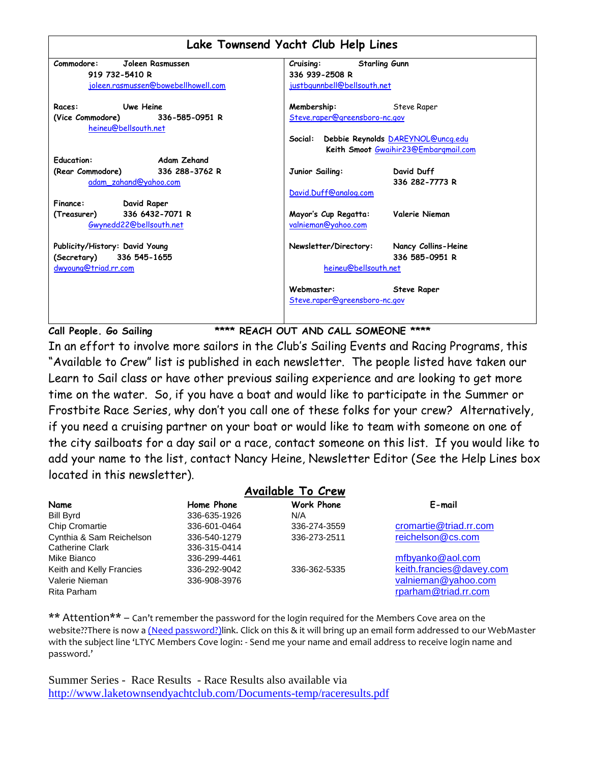|                                                            | Lake Townsend Yacht Club Help Lines                                               |
|------------------------------------------------------------|-----------------------------------------------------------------------------------|
| Commodore:<br>Joleen Rasmussen                             | <b>Starling Gunn</b><br>Cruising:                                                 |
| 919 732-5410 R                                             | 336 939-2508 R                                                                    |
| joleen.rasmussen@bowebellhowell.com                        | justbgunnbell@bellsouth.net                                                       |
| <b>Uwe Heine</b><br>Races:                                 | Membership:<br>Steve Raper                                                        |
| (Vice Commodore) 336-585-0951 R<br>heineu@bellsouth.net    | Steve.raper@greensboro-nc.gov                                                     |
|                                                            | Social: Debbie Reynolds DAREYNOL@uncq.edu<br>Keith Smoot Gwaihir23@Embargmail.com |
| <b>Education:</b><br><b>Example 2</b> Adam Zehand          |                                                                                   |
| (Rear Commodore) 336 288-3762 R<br>adam_zahand@yahoo.com   | David Duff<br>Junior Sailing:<br>336 282-7773 R                                   |
| Finance:<br>David Raper                                    | David.Duff@analog.com                                                             |
| 336 6432-7071 R<br>(Treasurer)<br>Gwynedd22@bellsouth.net  | Valerie Nieman<br>Mayor's Cup Regatta:<br>valnieman@yahoo.com                     |
| Publicity/History: David Young<br>(Secretary) 336 545-1655 | Newsletter/Directory:<br>Nancy Collins-Heine<br>336 585-0951 R                    |
| dwyoung@triad.rr.com                                       | heineu@bellsouth.net                                                              |
|                                                            | Webmaster:<br><b>Steve Raper</b><br>Steve.raper@greensboro-nc.gov                 |

**Call People. Go Sailing \*\*\*\* REACH OUT AND CALL SOMEONE \*\*\*\***

In an effort to involve more sailors in the Club"s Sailing Events and Racing Programs, this "Available to Crew" list is published in each newsletter. The people listed have taken our Learn to Sail class or have other previous sailing experience and are looking to get more time on the water. So, if you have a boat and would like to participate in the Summer or Frostbite Race Series, why don"t you call one of these folks for your crew? Alternatively, if you need a cruising partner on your boat or would like to team with someone on one of the city sailboats for a day sail or a race, contact someone on this list. If you would like to add your name to the list, contact Nancy Heine, Newsletter Editor (See the Help Lines box located in this newsletter).

|                          |              | <b>Available To Crew</b> |                          |
|--------------------------|--------------|--------------------------|--------------------------|
| Name                     | Home Phone   | <b>Work Phone</b>        | E-mail                   |
| <b>Bill Byrd</b>         | 336-635-1926 | N/A                      |                          |
| <b>Chip Cromartie</b>    | 336-601-0464 | 336-274-3559             | cromartie@triad.rr.com   |
| Cynthia & Sam Reichelson | 336-540-1279 | 336-273-2511             | reichelson@cs.com        |
| <b>Catherine Clark</b>   | 336-315-0414 |                          |                          |
| Mike Bianco              | 336-299-4461 |                          | mfbyanko@aol.com         |
| Keith and Kelly Francies | 336-292-9042 | 336-362-5335             | keith.francies@davey.com |
| Valerie Nieman           | 336-908-3976 |                          | valnieman@yahoo.com      |
| Rita Parham              |              |                          | rparham@triad.rr.com     |

\*\* Attention\*\* – Can't remember the password for the login required for the Members Cove area on the website??There is now a (Need password?)link. Click on this & it will bring up an email form addressed to our WebMaster with the subject line 'LTYC Members Cove login: - Send me your name and email address to receive login name and password.'

Summer Series - Race Results - Race Results also available via <http://www.laketownsendyachtclub.com/Documents-temp/raceresults.pdf>